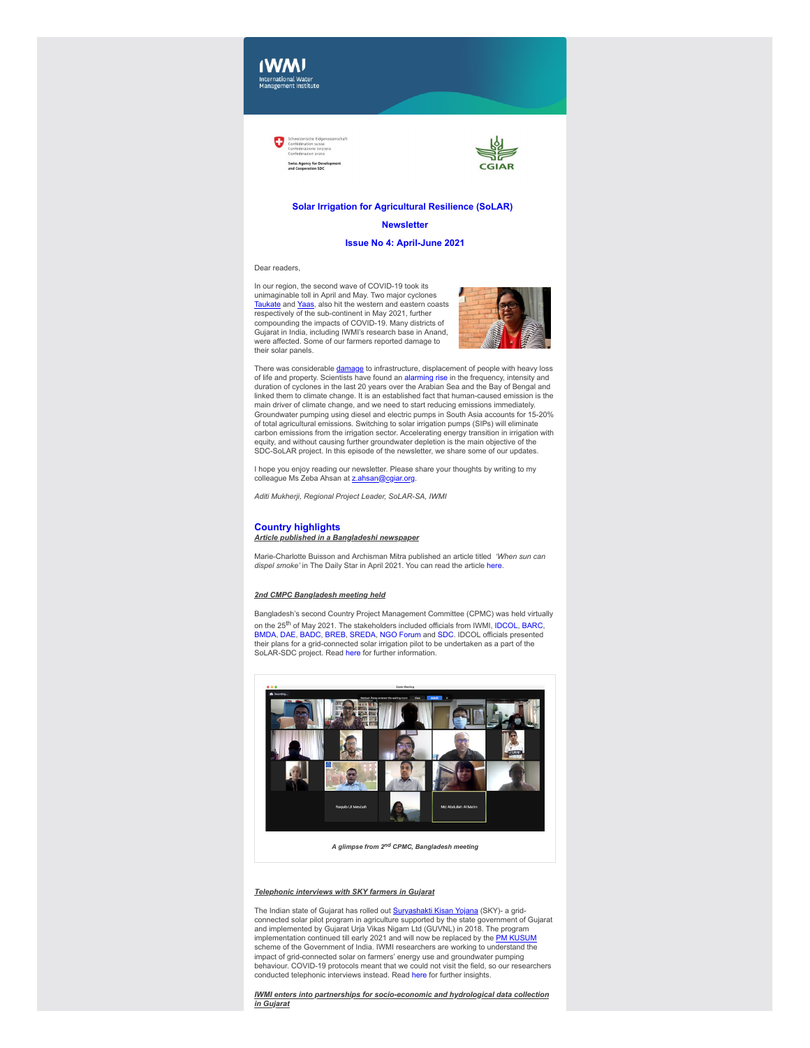



# **Solar Irrigation for Agricultural Resilience (SoLAR)**

#### **Newsletter**

# **Issue No 4: April-June 2021**

#### Dear readers,

In our region, the second wave of COVID-19 took its unimaginable toll in April and May. Two major cyclones<br><u>[Taukate](https://clt1364917.bmetrack.com/c/l?u=CA89A82&e=12DEC64&c=14D3B5&t=1&email=rCl6ZXzNdYXAlaa8rt3zZVChLVqEDDIg&seq=1)</u> and <u>Yaas</u>, also hit the western and eastern coasts respectively of the sub-continent in May 2021, further compounding the impacts of COVID-19. Many districts of Gujarat in India, including IWMI's research base in Anand, were affected. Some of our farmers reported damage to their solar panels.



There was considerable <u>[damage](https://clt1364917.bmetrack.com/c/l?u=CA89A84&e=12DEC64&c=14D3B5&t=1&email=rCl6ZXzNdYXAlaa8rt3zZVChLVqEDDIg&seq=1)</u> to infrastructure, displacement of people with heavy loss<br>of life and property. Scientists have found an [alarming rise](https://clt1364917.bmetrack.com/c/l?u=CB4FF07&e=12DEC64&c=14D3B5&t=1&email=rCl6ZXzNdYXAlaa8rt3zZVChLVqEDDIg&seq=1) in the frequency, intensity and duration of cyclones in the last 20 years over the Arabian Sea and the Bay of Bengal and linked them to climate change. It is an established fact that human-caused emission is the main driver of climate change, and we need to start reducing emissions immediately. Groundwater pumping using diesel and electric pumps in South Asia accounts for 15-20% of total agricultural emissions. Switching to solar irrigation pumps (SIPs) will eliminate carbon emissions from the irrigation sector. Accelerating energy transition in irrigation with equity, and without causing further groundwater depletion is the main objective of the SDC-SoLAR project. In this episode of the newsletter, we share some of our updates.

I hope you enjoy reading our newsletter. Please share your thoughts by writing to my<br>colleague Ms Zeba Ahsan at [z.ahsan@cgiar.org.](mailto:z.ahsan@cgiar.org)

*Aditi Mukherji, Regional Project Leader, SoLAR-SA, IWMI*

## **Country highlights** *Article published in a Bangladeshi newspaper*

Marie-Charlotte Buisson and Archisman Mitra published an article titled *'When sun can dispel smoke'* in The Daily Star in April 2021. You can read the article [here.](https://clt1364917.bmetrack.com/c/l?u=CA89A86&e=12DEC64&c=14D3B5&t=1&email=rCl6ZXzNdYXAlaa8rt3zZVChLVqEDDIg&seq=1)

# *2nd CMPC Bangladesh meeting held*

Bangladesh's second Country Project Management Committee (CPMC) was held virtually on the 25<sup>th</sup> of May 2021. The stakeholders included officials from IWMI, [IDCOL,](https://clt1364917.bmetrack.com/c/l?u=CB5656D&e=12DEC64&c=14D3B5&t=1&email=rCl6ZXzNdYXAlaa8rt3zZVChLVqEDDIg&seq=1) [BARC](https://clt1364917.bmetrack.com/c/l?u=CA89A88&e=12DEC64&c=14D3B5&t=1&email=rCl6ZXzNdYXAlaa8rt3zZVChLVqEDDIg&seq=1), [BMDA,](https://clt1364917.bmetrack.com/c/l?u=CA89A89&e=12DEC64&c=14D3B5&t=1&email=rCl6ZXzNdYXAlaa8rt3zZVChLVqEDDIg&seq=1) [DAE,](https://clt1364917.bmetrack.com/c/l?u=CA89A8A&e=12DEC64&c=14D3B5&t=1&email=rCl6ZXzNdYXAlaa8rt3zZVChLVqEDDIg&seq=1) [BADC,](https://clt1364917.bmetrack.com/c/l?u=CA89A8B&e=12DEC64&c=14D3B5&t=1&email=rCl6ZXzNdYXAlaa8rt3zZVChLVqEDDIg&seq=1) [BREB,](https://clt1364917.bmetrack.com/c/l?u=CA89A8C&e=12DEC64&c=14D3B5&t=1&email=rCl6ZXzNdYXAlaa8rt3zZVChLVqEDDIg&seq=1) [SREDA](https://clt1364917.bmetrack.com/c/l?u=CA89A8D&e=12DEC64&c=14D3B5&t=1&email=rCl6ZXzNdYXAlaa8rt3zZVChLVqEDDIg&seq=1), [NGO Forum](https://clt1364917.bmetrack.com/c/l?u=CA89A8E&e=12DEC64&c=14D3B5&t=1&email=rCl6ZXzNdYXAlaa8rt3zZVChLVqEDDIg&seq=1) and [SDC.](https://clt1364917.bmetrack.com/c/l?u=CA89A8F&e=12DEC64&c=14D3B5&t=1&email=rCl6ZXzNdYXAlaa8rt3zZVChLVqEDDIg&seq=1) IDCOL officials presented their plans for a grid-connected solar irrigation pilot to be undertaken as a part of the SoLAR-SDC project. Read [here](https://clt1364917.bmetrack.com/c/l?u=CB4FD23&e=12DEC64&c=14D3B5&t=1&email=rCl6ZXzNdYXAlaa8rt3zZVChLVqEDDIg&seq=1) for further information.



*A glimpse from 2nd CPMC, Bangladesh meeting*

#### *Telephonic interviews with SKY farmers in Gujarat*

The Indian state of Gujarat has rolled out <u>Suryashakti Kisan Yojana</u> (SKY)- a grid-<br>connected solar pilot program in agriculture supported by the state government of Gujarat<br>and implemented by Gujarat Urja Vikas Nigam Ltd implementation continued till early 2021 and will now be replaced by the <u>PM [KUSUM](https://clt1364917.bmetrack.com/c/l?u=CA89A92&e=12DEC64&c=14D3B5&t=1&email=rCl6ZXzNdYXAlaa8rt3zZVChLVqEDDIg&seq=1)</u><br>scheme of the Government of India. IWMI researchers are working to understand the impact of grid-connected solar on farmers' energy use and groundwater pumping behaviour. COVID-19 protocols meant that we could not visit the field, so our researchers conducted telephonic interviews instead. Read [here](https://clt1364917.bmetrack.com/c/l?u=CB4FD24&e=12DEC64&c=14D3B5&t=1&email=rCl6ZXzNdYXAlaa8rt3zZVChLVqEDDIg&seq=1) for further insights.

*IWMI enters into partnerships for socio-economic and hydrological data collection in Gujarat*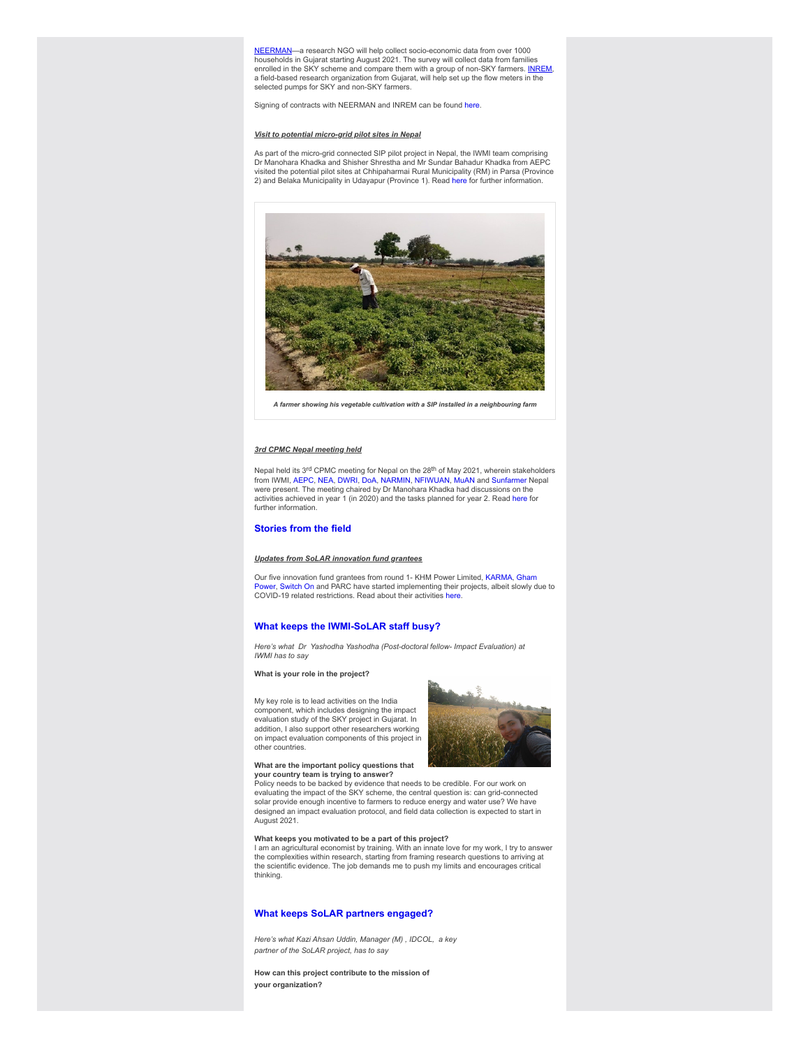[NEERMAN—](https://clt1364917.bmetrack.com/c/l?u=CA89A94&e=12DEC64&c=14D3B5&t=1&email=rCl6ZXzNdYXAlaa8rt3zZVChLVqEDDIg&seq=1)a research NGO will help collect socio-economic data from over 1000 households in Gujarat starting August 2021. The survey will collect data from families enrolled in the SKY scheme and compare them with a group of non-SKY farmers. <u>[INREM](https://clt1364917.bmetrack.com/c/l?u=CA89A95&e=12DEC64&c=14D3B5&t=1&email=rCl6ZXzNdYXAlaa8rt3zZVChLVqEDDIg&seq=1),</u><br>a field-based research organization from Gujarat, will help set up the flow meters in the selected pumps for SKY and non-SKY farmers.

Signing of contracts with NEERMAN and INREM can be found [here.](https://clt1364917.bmetrack.com/c/l?u=CB4FD24&e=12DEC64&c=14D3B5&t=1&email=rCl6ZXzNdYXAlaa8rt3zZVChLVqEDDIg&seq=2)

## *Visit to potential micro-grid pilot sites in Nepal*

As part of the micro-grid connected SIP pilot project in Nepal, the IWMI team comprising<br>Dr Manohara Khadka and Shisher Shrestha and Mr Sundar Bahadur Khadka from AEPC visited the potential pilot sites at Chhipaharmai Rural Municipality (RM) in Parsa (Province 2) and Belaka Municipality in Udayapur (Province 1). Read [here](https://clt1364917.bmetrack.com/c/l?u=CB4FD25&e=12DEC64&c=14D3B5&t=1&email=rCl6ZXzNdYXAlaa8rt3zZVChLVqEDDIg&seq=1) for further information.



*A farmer showing his vegetable cultivation with a SIP installed in a neighbouring farm*

## *3rd CPMC Nepal meeting held*

Nepal held its 3<sup>rd</sup> CPMC meeting for Nepal on the 28<sup>th</sup> of May 2021, wherein stakeholders<br>from IWMI, [AEPC](https://clt1364917.bmetrack.com/c/l?u=CB5656E&e=12DEC64&c=14D3B5&t=1&email=rCl6ZXzNdYXAlaa8rt3zZVChLVqEDDIg&seq=1), [NEA](https://clt1364917.bmetrack.com/c/l?u=CB56570&e=12DEC64&c=14D3B5&t=1&email=rCl6ZXzNdYXAlaa8rt3zZVChLVqEDDIg&seq=1), [DWRI](https://clt1364917.bmetrack.com/c/l?u=CB56571&e=12DEC64&c=14D3B5&t=1&email=rCl6ZXzNdYXAlaa8rt3zZVChLVqEDDIg&seq=1), [DoA,](https://clt1364917.bmetrack.com/c/l?u=CB56572&e=12DEC64&c=14D3B5&t=1&email=rCl6ZXzNdYXAlaa8rt3zZVChLVqEDDIg&seq=1) [NARMIN](https://clt1364917.bmetrack.com/c/l?u=CB56573&e=12DEC64&c=14D3B5&t=1&email=rCl6ZXzNdYXAlaa8rt3zZVChLVqEDDIg&seq=1), [NFIWUAN](https://clt1364917.bmetrack.com/c/l?u=CB56574&e=12DEC64&c=14D3B5&t=1&email=rCl6ZXzNdYXAlaa8rt3zZVChLVqEDDIg&seq=1), [MuAN](https://clt1364917.bmetrack.com/c/l?u=CB56575&e=12DEC64&c=14D3B5&t=1&email=rCl6ZXzNdYXAlaa8rt3zZVChLVqEDDIg&seq=1) and [Sunfarmer](https://clt1364917.bmetrack.com/c/l?u=CB56576&e=12DEC64&c=14D3B5&t=1&email=rCl6ZXzNdYXAlaa8rt3zZVChLVqEDDIg&seq=1) Nepal were present. The meeting chaired by Dr Manohara Khadka had discussions on the activities achieved in year 1 (in 2020) and the tasks planned for year 2. Read [here](https://clt1364917.bmetrack.com/c/l?u=CA89A90&e=12DEC64&c=14D3B5&t=1&email=rCl6ZXzNdYXAlaa8rt3zZVChLVqEDDIg&seq=1) for further information.

# **Stories from the field**

# *Updates from SoLAR innovation fund grantees*

[Our five innovation fund grantees from round 1- KHM Power Limited,](https://clt1364917.bmetrack.com/c/l?u=CB68111&e=12DEC64&c=14D3B5&t=1&email=rCl6ZXzNdYXAlaa8rt3zZVChLVqEDDIg&seq=1) [KARM](https://clt1364917.bmetrack.com/c/l?u=CB68110&e=12DEC64&c=14D3B5&t=1&email=rCl6ZXzNdYXAlaa8rt3zZVChLVqEDDIg&seq=1)[A, Gham](https://clt1364917.bmetrack.com/c/l?u=CB68111&e=12DEC64&c=14D3B5&t=1&email=rCl6ZXzNdYXAlaa8rt3zZVChLVqEDDIg&seq=1) witch On and PARC have started implementing their projects, albeit slowly due to COVID-19 related restrictions. Read about their activities [here.](https://clt1364917.bmetrack.com/c/l?u=CA89A99&e=12DEC64&c=14D3B5&t=1&email=rCl6ZXzNdYXAlaa8rt3zZVChLVqEDDIg&seq=1)

# **What keeps the IWMI-SoLAR staff busy?**

*Here's what Dr Yashodha Yashodha (Post-doctoral fellow- Impact Evaluation) at IWMI has to say*

**What is your role in the project?**

My key role is to lead activities on the India component, which includes designing the impact evaluation study of the SKY project in Gujarat. In addition, I also support other researchers working on impact evaluation components of this project in other countries.



# **What are the important policy questions that**

**your country team is trying to answer?** Policy needs to be backed by evidence that needs to be credible. For our work on evaluating the impact of the SKY scheme, the central question is: can grid-connected solar provide enough incentive to farmers to reduce energy and water use? We have designed an impact evaluation protocol, and field data collection is expected to start in August 2021.

## **What keeps you motivated to be a part of this project?**

I am an agricultural economist by training. With an innate love for my work, I try to answer the complexities within research, starting from framing research questions to arriving at the scientific evidence. The job demands me to push my limits and encourages critical thinking.

## **What keeps SoLAR partners engaged?**

*Here's what Kazi Ahsan Uddin, Manager (M) , IDCOL, a key partner of the SoLAR project, has to say*

**How can this project contribute to the mission of your organization?**